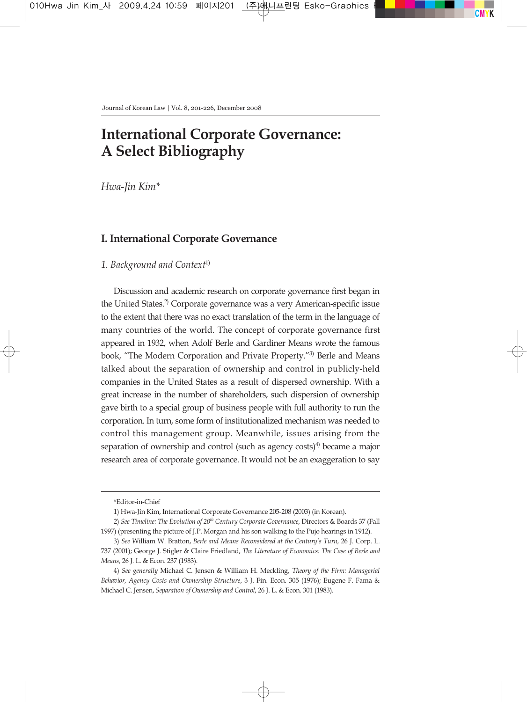# **International Corporate Governance: A Select Bibliography**

*Hwa-Jin Kim\**

# **I. International Corporate Governance**

# *1. Background and Context*1)

Discussion and academic research on corporate governance first began in the United States.<sup>2)</sup> Corporate governance was a very American-specific issue to the extent that there was no exact translation of the term in the language of many countries of the world. The concept of corporate governance first appeared in 1932, when Adolf Berle and Gardiner Means wrote the famous book, "The Modern Corporation and Private Property."3) Berle and Means talked about the separation of ownership and control in publicly-held companies in the United States as a result of dispersed ownership. With a great increase in the number of shareholders, such dispersion of ownership gave birth to a special group of business people with full authority to run the corporation. In turn, some form of institutionalized mechanism was needed to control this management group. Meanwhile, issues arising from the separation of ownership and control (such as agency  $costs$ )<sup>4)</sup> became a major research area of corporate governance. It would not be an exaggeration to say

<sup>\*</sup>Editor-in-Chief

<sup>1)</sup> Hwa-Jin Kim, International Corporate Governance 205-208 (2003) (in Korean).

<sup>2)</sup> *See Timeline: The Evolution of 20th Century Corporate Governance*, Directors & Boards 37 (Fall 1997) (presenting the picture of J.P. Morgan and his son walking to the Pujo hearings in 1912).

<sup>3)</sup> *See* William W. Bratton, *Berle and Means Reconsidered at the Century's Turn,* 26 J. Corp. L. 737 (2001); George J. Stigler & Claire Friedland, *The Literature of Economics: The Case of Berle and Means*, 26 J. L. & Econ. 237 (1983).

<sup>4)</sup> *See generally* Michael C. Jensen & William H. Meckling, *Theory of the Firm: Managerial Behavior, Agency Costs and Ownership Structure*, 3 J. Fin. Econ. 305 (1976); Eugene F. Fama & Michael C. Jensen, *Separation of Ownership and Control*, 26 J. L. & Econ. 301 (1983).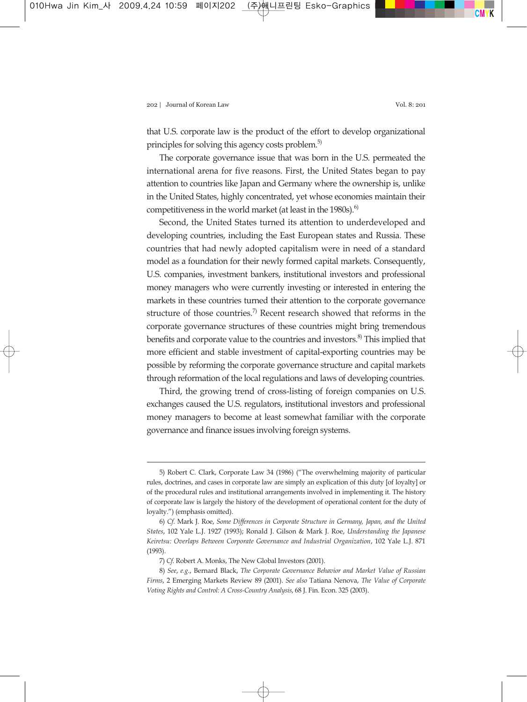that U.S. corporate law is the product of the effort to develop organizational principles for solving this agency costs problem.<sup>5)</sup>

The corporate governance issue that was born in the U.S. permeated the international arena for five reasons. First, the United States began to pay attention to countries like Japan and Germany where the ownership is, unlike in the United States, highly concentrated, yet whose economies maintain their competitiveness in the world market (at least in the 1980s).<sup>6)</sup>

Second, the United States turned its attention to underdeveloped and developing countries, including the East European states and Russia. These countries that had newly adopted capitalism were in need of a standard model as a foundation for their newly formed capital markets. Consequently, U.S. companies, investment bankers, institutional investors and professional money managers who were currently investing or interested in entering the markets in these countries turned their attention to the corporate governance structure of those countries.<sup>7)</sup> Recent research showed that reforms in the corporate governance structures of these countries might bring tremendous benefits and corporate value to the countries and investors.<sup>8)</sup> This implied that more efficient and stable investment of capital-exporting countries may be possible by reforming the corporate governance structure and capital markets through reformation of the local regulations and laws of developing countries.

Third, the growing trend of cross-listing of foreign companies on U.S. exchanges caused the U.S. regulators, institutional investors and professional money managers to become at least somewhat familiar with the corporate governance and finance issues involving foreign systems.

<sup>5)</sup> Robert C. Clark, Corporate Law 34 (1986) ("The overwhelming majority of particular rules, doctrines, and cases in corporate law are simply an explication of this duty [of loyalty] or of the procedural rules and institutional arrangements involved in implementing it. The history of corporate law is largely the history of the development of operational content for the duty of loyalty.") (emphasis omitted).

<sup>6)</sup> *Cf*. Mark J. Roe, *Some Differences in Corporate Structure in Germany, Japan, and the United States*, 102 Yale L.J. 1927 (1993); Ronald J. Gilson & Mark J. Roe, *Understanding the Japanese Keiretsu: Overlaps Between Corporate Governance and Industrial Organization*, 102 Yale L.J. 871 (1993).

<sup>7)</sup> *Cf.* Robert A. Monks, The New Global Investors (2001).

<sup>8)</sup> *See*, *e.g.*, Bernard Black, *The Corporate Governance Behavior and Market Value of Russian Firms*, 2 Emerging Markets Review 89 (2001). *See also* Tatiana Nenova, *The Value of Corporate Voting Rights and Control: A Cross-Country Analysis*, 68 J. Fin. Econ. 325 (2003).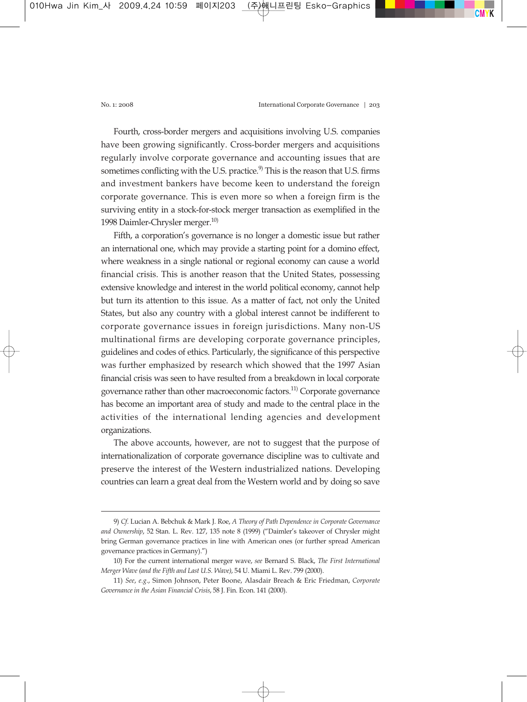Fourth, cross-border mergers and acquisitions involving U.S. companies have been growing significantly. Cross-border mergers and acquisitions regularly involve corporate governance and accounting issues that are sometimes conflicting with the U.S. practice.<sup>9</sup> This is the reason that U.S. firms and investment bankers have become keen to understand the foreign corporate governance. This is even more so when a foreign firm is the surviving entity in a stock-for-stock merger transaction as exemplified in the 1998 Daimler-Chrysler merger.<sup>10)</sup>

Fifth, a corporation's governance is no longer a domestic issue but rather an international one, which may provide a starting point for a domino effect, where weakness in a single national or regional economy can cause a world financial crisis. This is another reason that the United States, possessing extensive knowledge and interest in the world political economy, cannot help but turn its attention to this issue. As a matter of fact, not only the United States, but also any country with a global interest cannot be indifferent to corporate governance issues in foreign jurisdictions. Many non-US multinational firms are developing corporate governance principles, guidelines and codes of ethics. Particularly, the significance of this perspective was further emphasized by research which showed that the 1997 Asian financial crisis was seen to have resulted from a breakdown in local corporate governance rather than other macroeconomic factors.<sup>11)</sup> Corporate governance has become an important area of study and made to the central place in the activities of the international lending agencies and development organizations.

The above accounts, however, are not to suggest that the purpose of internationalization of corporate governance discipline was to cultivate and preserve the interest of the Western industrialized nations. Developing countries can learn a great deal from the Western world and by doing so save

<sup>9)</sup> *Cf*. Lucian A. Bebchuk & Mark J. Roe, *A Theory of Path Dependence in Corporate Governance and Ownership*, 52 Stan. L. Rev. 127, 135 note 8 (1999) ("Daimler's takeover of Chrysler might bring German governance practices in line with American ones (or further spread American governance practices in Germany).")

<sup>10)</sup> For the current international merger wave, *see* Bernard S. Black, *The First International Merger Wave (and the Fifth and Last U.S. Wave)*, 54 U. Miami L. Rev. 799 (2000).

<sup>11)</sup> *See*, *e.g*., Simon Johnson, Peter Boone, Alasdair Breach & Eric Friedman, *Corporate Governance in the Asian Financial Crisis*, 58 J. Fin. Econ. 141 (2000).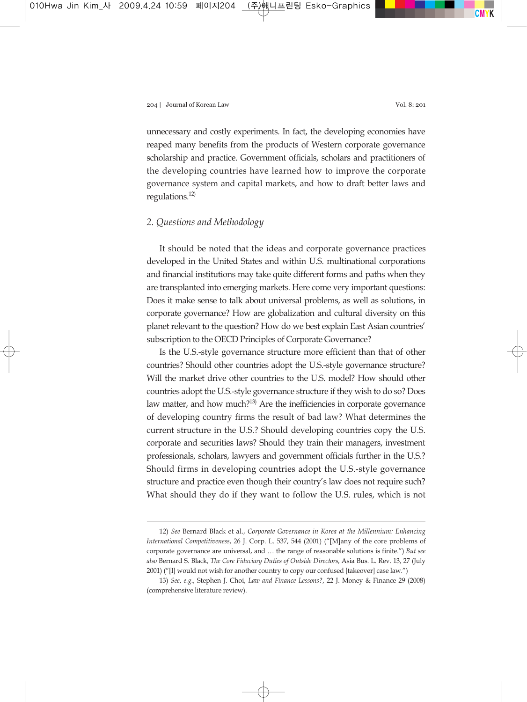unnecessary and costly experiments. In fact, the developing economies have reaped many benefits from the products of Western corporate governance scholarship and practice. Government officials, scholars and practitioners of the developing countries have learned how to improve the corporate governance system and capital markets, and how to draft better laws and regulations. $12$ 

### *2. Questions and Methodology*

It should be noted that the ideas and corporate governance practices developed in the United States and within U.S. multinational corporations and financial institutions may take quite different forms and paths when they are transplanted into emerging markets. Here come very important questions: Does it make sense to talk about universal problems, as well as solutions, in corporate governance? How are globalization and cultural diversity on this planet relevant to the question? How do we best explain East Asian countries' subscription to the OECD Principles of Corporate Governance?

Is the U.S.-style governance structure more efficient than that of other countries? Should other countries adopt the U.S.-style governance structure? Will the market drive other countries to the U.S. model? How should other countries adopt the U.S.-style governance structure if they wish to do so? Does law matter, and how much?<sup>13)</sup> Are the inefficiencies in corporate governance of developing country firms the result of bad law? What determines the current structure in the U.S.? Should developing countries copy the U.S. corporate and securities laws? Should they train their managers, investment professionals, scholars, lawyers and government officials further in the U.S.? Should firms in developing countries adopt the U.S.-style governance structure and practice even though their country's law does not require such? What should they do if they want to follow the U.S. rules, which is not

<sup>12)</sup> *See* Bernard Black et al., *Corporate Governance in Korea at the Millennium: Enhancing International Competitiveness*, 26 J. Corp. L. 537, 544 (2001) ("[M]any of the core problems of corporate governance are universal, and … the range of reasonable solutions is finite.") *But see also* Bernard S. Black, *The Core Fiduciary Duties of Outside Directors*, Asia Bus. L. Rev. 13, 27 (July 2001) ("[I] would not wish for another country to copy our confused [takeover] case law.")

<sup>13)</sup> *See*, *e.g*., Stephen J. Choi, *Law and Finance Lessons?*, 22 J. Money & Finance 29 (2008) (comprehensive literature review).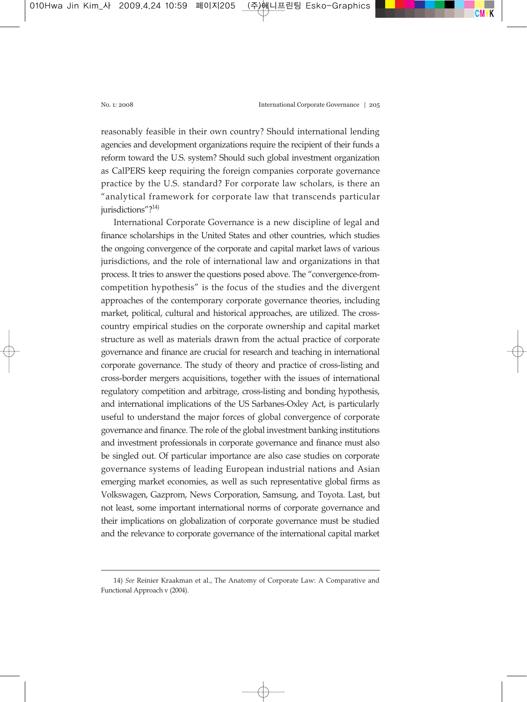reasonably feasible in their own country? Should international lending agencies and development organizations require the recipient of their funds a reform toward the U.S. system? Should such global investment organization as CalPERS keep requiring the foreign companies corporate governance practice by the U.S. standard? For corporate law scholars, is there an "analytical framework for corporate law that transcends particular jurisdictions"?<sup>14)</sup>

International Corporate Governance is a new discipline of legal and finance scholarships in the United States and other countries, which studies the ongoing convergence of the corporate and capital market laws of various jurisdictions, and the role of international law and organizations in that process. It tries to answer the questions posed above. The "convergence-fromcompetition hypothesis" is the focus of the studies and the divergent approaches of the contemporary corporate governance theories, including market, political, cultural and historical approaches, are utilized. The crosscountry empirical studies on the corporate ownership and capital market structure as well as materials drawn from the actual practice of corporate governance and finance are crucial for research and teaching in international corporate governance. The study of theory and practice of cross-listing and cross-border mergers acquisitions, together with the issues of international regulatory competition and arbitrage, cross-listing and bonding hypothesis, and international implications of the US Sarbanes-Oxley Act, is particularly useful to understand the major forces of global convergence of corporate governance and finance. The role of the global investment banking institutions and investment professionals in corporate governance and finance must also be singled out. Of particular importance are also case studies on corporate governance systems of leading European industrial nations and Asian emerging market economies, as well as such representative global firms as Volkswagen, Gazprom, News Corporation, Samsung, and Toyota. Last, but not least, some important international norms of corporate governance and their implications on globalization of corporate governance must be studied and the relevance to corporate governance of the international capital market

<sup>14)</sup> *See* Reinier Kraakman et al., The Anatomy of Corporate Law: A Comparative and Functional Approach v (2004).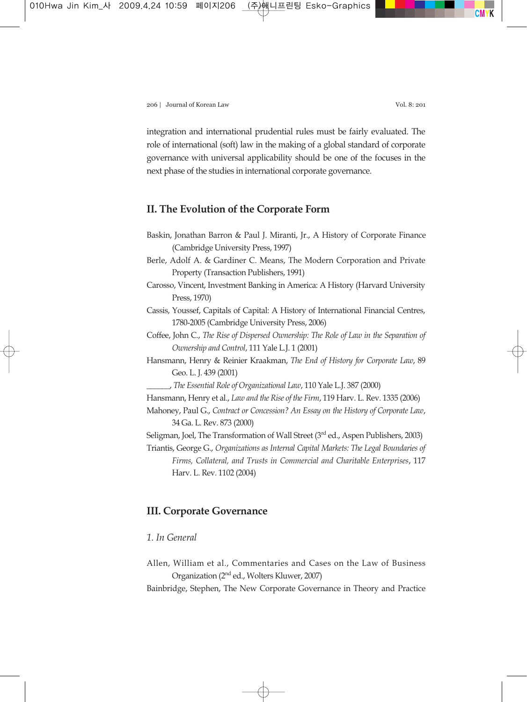integration and international prudential rules must be fairly evaluated. The role of international (soft) law in the making of a global standard of corporate governance with universal applicability should be one of the focuses in the next phase of the studies in international corporate governance.

# **II. The Evolution of the Corporate Form**

- Baskin, Jonathan Barron & Paul J. Miranti, Jr., A History of Corporate Finance (Cambridge University Press, 1997)
- Berle, Adolf A. & Gardiner C. Means, The Modern Corporation and Private Property (Transaction Publishers, 1991)
- Carosso, Vincent, Investment Banking in America: A History (Harvard University Press, 1970)
- Cassis, Youssef, Capitals of Capital: A History of International Financial Centres, 1780-2005 (Cambridge University Press, 2006)
- Coffee, John C., *The Rise of Dispersed Ownership: The Role of Law in the Separation of Ownership and Control*, 111 Yale L.J. 1 (2001)
- Hansmann, Henry & Reinier Kraakman, *The End of History for Corporate Law*, 89 Geo. L. J. 439 (2001)
	- \_\_\_\_\_\_, *The Essential Role of Organizational Law*, 110 Yale L.J. 387 (2000)
- Hansmann, Henry et al., *Law and the Rise of the Firm*, 119 Harv. L. Rev. 1335 (2006)
- Mahoney, Paul G., *Contract or Concession? An Essay on the History of Corporate Law*, 34 Ga. L. Rev. 873 (2000)
- Seligman, Joel, The Transformation of Wall Street  $(3<sup>rd</sup>$  ed., Aspen Publishers, 2003)
- Triantis, George G., *Organizations as Internal Capital Markets: The Legal Boundaries of Firms, Collateral, and Trusts in Commercial and Charitable Enterprises*, 117 Harv. L. Rev. 1102 (2004)

# **III. Corporate Governance**

# *1. In General*

- Allen, William et al., Commentaries and Cases on the Law of Business Organization (2nd ed., Wolters Kluwer, 2007)
- Bainbridge, Stephen, The New Corporate Governance in Theory and Practice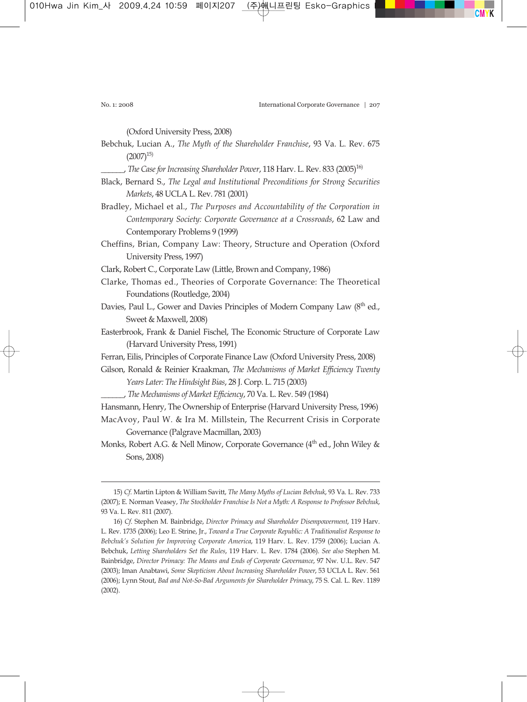(Oxford University Press, 2008)

Bebchuk, Lucian A., *The Myth of the Shareholder Franchise*, 93 Va. L. Rev. 675  $(2007)^{15}$ 

\_\_\_\_\_\_, *The Case for Increasing Shareholder Power*, 118 Harv. L. Rev. 833 (2005)16)

- Black, Bernard S., *The Legal and Institutional Preconditions for Strong Securities Markets*, 48 UCLA L. Rev. 781 (2001)
- Bradley, Michael et al., *The Purposes and Accountability of the Corporation in Contemporary Society: Corporate Governance at a Crossroads*, 62 Law and Contemporary Problems 9 (1999)
- Cheffins, Brian, Company Law: Theory, Structure and Operation (Oxford University Press, 1997)
- Clark, Robert C., Corporate Law (Little, Brown and Company, 1986)
- Clarke, Thomas ed., Theories of Corporate Governance: The Theoretical Foundations (Routledge, 2004)
- Davies, Paul L., Gower and Davies Principles of Modern Company Law (8<sup>th</sup> ed., Sweet & Maxwell, 2008)
- Easterbrook, Frank & Daniel Fischel, The Economic Structure of Corporate Law (Harvard University Press, 1991)
- Ferran, Eilis, Principles of Corporate Finance Law (Oxford University Press, 2008)
- Gilson, Ronald & Reinier Kraakman, *The Mechanisms of Market Efficiency Twenty Years Later: The Hindsight Bias*, 28 J. Corp. L. 715 (2003)
	- \_\_\_\_\_\_, *The Mechanisms of Market Efficiency*, 70 Va. L. Rev. 549 (1984)
- Hansmann, Henry, The Ownership of Enterprise (Harvard University Press, 1996)
- MacAvoy, Paul W. & Ira M. Millstein, The Recurrent Crisis in Corporate Governance (Palgrave Macmillan, 2003)
- Monks, Robert A.G. & Nell Minow, Corporate Governance (4<sup>th</sup> ed., John Wiley & Sons, 2008)

<sup>15)</sup> *Cf*. Martin Lipton & William Savitt, *The Many Myths of Lucian Bebchuk*, 93 Va. L. Rev. 733 (2007); E. Norman Veasey, *The Stockholder Franchise Is Not a Myth: A Response to Professor Bebchuk*, 93 Va. L. Rev. 811 (2007).

<sup>16)</sup> *Cf*. Stephen M. Bainbridge, *Director Primacy and Shareholder Disempowerment*, 119 Harv. L. Rev. 1735 (2006); Leo E. Strine, Jr., *Toward a True Corporate Republic: A Traditionalist Response to Bebchuk's Solution for Improving Corporate America*, 119 Harv. L. Rev. 1759 (2006); Lucian A. Bebchuk, *Letting Shareholders Set the Rules*, 119 Harv. L. Rev. 1784 (2006). *See also* Stephen M. Bainbridge, *Director Primacy: The Means and Ends of Corporate Governance*, 97 Nw. U.L. Rev. 547 (2003); Iman Anabtawi, *Some Skepticism About Increasing Shareholder Power*, 53 UCLA L. Rev. 561 (2006); Lynn Stout, *Bad and Not-So-Bad Arguments for Shareholder Primacy*, 75 S. Cal. L. Rev. 1189 (2002).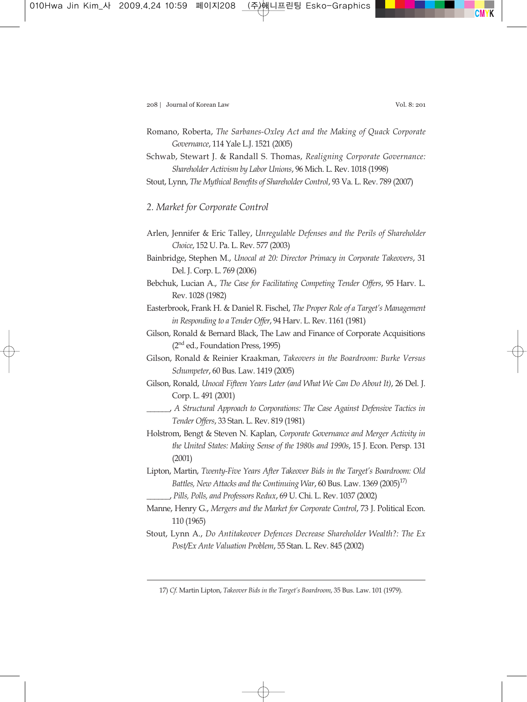- Romano, Roberta, *The Sarbanes-Oxley Act and the Making of Quack Corporate Governance*, 114 Yale L.J. 1521 (2005)
- Schwab, Stewart J. & Randall S. Thomas, *Realigning Corporate Governance: Shareholder Activism by Labor Unions*, 96 Mich. L. Rev. 1018 (1998)
- Stout, Lynn, *The Mythical Benefits of Shareholder Control*, 93 Va. L. Rev. 789 (2007)

## *2. Market for Corporate Control*

- Arlen, Jennifer & Eric Talley, *Unregulable Defenses and the Perils of Shareholder Choice*, 152 U. Pa. L. Rev. 577 (2003)
- Bainbridge, Stephen M., *Unocal at 20: Director Primacy in Corporate Takeovers*, 31 Del. J. Corp. L. 769 (2006)
- Bebchuk, Lucian A., *The Case for Facilitating Competing Tender Offers*, 95 Harv. L. Rev. 1028 (1982)
- Easterbrook, Frank H. & Daniel R. Fischel, *The Proper Role of a Target's Management in Responding to a Tender Offer*, 94 Harv. L. Rev. 1161 (1981)
- Gilson, Ronald & Bernard Black, The Law and Finance of Corporate Acquisitions  $(2<sup>nd</sup>$  ed., Foundation Press, 1995)
- Gilson, Ronald & Reinier Kraakman, *Takeovers in the Boardroom: Burke Versus Schumpeter*, 60 Bus. Law. 1419 (2005)
- Gilson, Ronald, *Unocal Fifteen Years Later (and What We Can Do About It)*, 26 Del. J. Corp. L. 491 (2001)
- \_\_\_\_\_\_, *A Structural Approach to Corporations: The Case Against Defensive Tactics in Tender Offers*, 33 Stan. L. Rev. 819 (1981)
- Holstrom, Bengt & Steven N. Kaplan, *Corporate Governance and Merger Activity in the United States: Making Sense of the 1980s and 1990s*, 15 J. Econ. Persp. 131 (2001)
- Lipton, Martin, *Twenty-Five Years After Takeover Bids in the Target's Boardroom: Old Battles, New Attacks and the Continuing War, 60 Bus. Law. 1369* (2005)<sup>17)</sup>
	- \_\_\_\_\_\_, *Pills, Polls, and Professors Redux*, 69 U. Chi. L. Rev. 1037 (2002)
- Manne, Henry G., *Mergers and the Market for Corporate Control*, 73 J. Political Econ. 110 (1965)
- Stout, Lynn A., *Do Antitakeover Defences Decrease Shareholder Wealth?: The Ex Post/Ex Ante Valuation Problem*, 55 Stan. L. Rev. 845 (2002)

<sup>17)</sup> *Cf.* Martin Lipton, *Takeover Bids in the Target's Boardroom*, 35 Bus. Law. 101 (1979).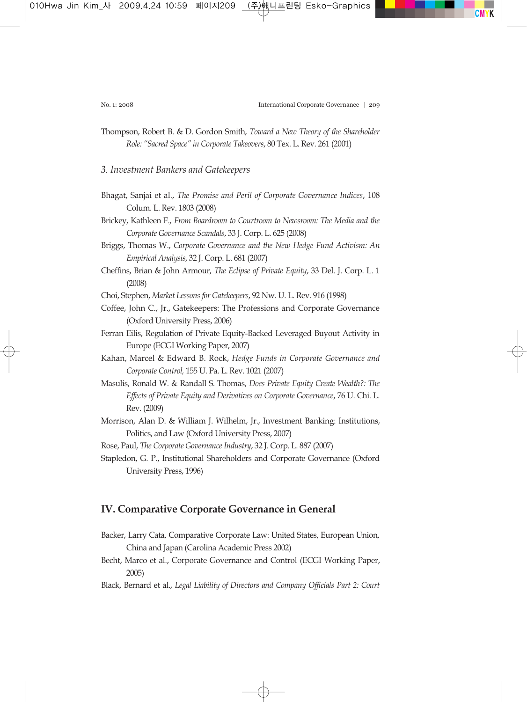Thompson, Robert B. & D. Gordon Smith, *Toward a New Theory of the Shareholder Role: "Sacred Space" in Corporate Takeovers*, 80 Tex. L. Rev. 261 (2001)

#### *3. Investment Bankers and Gatekeepers*

- Bhagat, Sanjai et al., *The Promise and Peril of Corporate Governance Indices*, 108 Colum. L. Rev. 1803 (2008)
- Brickey, Kathleen F., *From Boardroom to Courtroom to Newsroom: The Media and the Corporate Governance Scandals*, 33 J. Corp. L. 625 (2008)
- Briggs, Thomas W., *Corporate Governance and the New Hedge Fund Activism: An Empirical Analysis*, 32 J. Corp. L. 681 (2007)
- Cheffins, Brian & John Armour, *The Eclipse of Private Equity*, 33 Del. J. Corp. L. 1 (2008)
- Choi, Stephen, *Market Lessons for Gatekeepers*, 92 Nw. U. L. Rev. 916 (1998)
- Coffee, John C., Jr., Gatekeepers: The Professions and Corporate Governance (Oxford University Press, 2006)
- Ferran Eilis, Regulation of Private Equity-Backed Leveraged Buyout Activity in Europe (ECGI Working Paper, 2007)
- Kahan, Marcel & Edward B. Rock, *Hedge Funds in Corporate Governance and Corporate Control,* 155 U. Pa. L. Rev. 1021 (2007)
- Masulis, Ronald W. & Randall S. Thomas, *Does Private Equity Create Wealth?: The Effects of Private Equity and Derivatives on Corporate Governance*, 76 U. Chi. L. Rev. (2009)
- Morrison, Alan D. & William J. Wilhelm, Jr., Investment Banking: Institutions, Politics, and Law (Oxford University Press, 2007)

Rose, Paul, *The Corporate Governance Industry*, 32 J. Corp. L. 887 (2007)

Stapledon, G. P., Institutional Shareholders and Corporate Governance (Oxford University Press, 1996)

## **IV. Comparative Corporate Governance in General**

- Backer, Larry Cata, Comparative Corporate Law: United States, European Union, China and Japan (Carolina Academic Press 2002)
- Becht, Marco et al., Corporate Governance and Control (ECGI Working Paper, 2005)
- Black, Bernard et al., *Legal Liability of Directors and Company Officials Part 2: Court*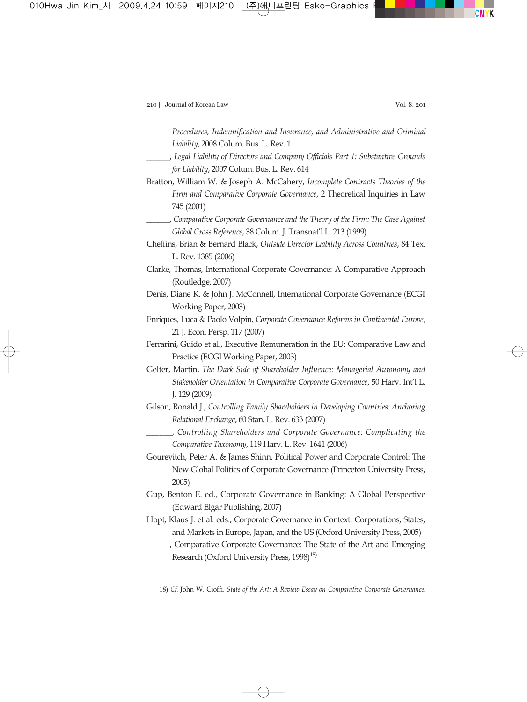*Procedures, Indemnification and Insurance, and Administrative and Criminal Liability*, 2008 Colum. Bus. L. Rev. 1

- \_\_\_\_\_\_, *Legal Liability of Directors and Company Officials Part 1: Substantive Grounds for Liability*, 2007 Colum. Bus. L. Rev. 614
- Bratton, William W. & Joseph A. McCahery, *Incomplete Contracts Theories of the Firm and Comparative Corporate Governance*, 2 Theoretical Inquiries in Law 745 (2001)
- \_\_\_\_\_\_, *Comparative Corporate Governance and the Theory of the Firm: The Case Against Global Cross Reference*, 38 Colum. J. Transnat'l L. 213 (1999)
- Cheffins, Brian & Bernard Black, *Outside Director Liability Across Countries*, 84 Tex. L. Rev. 1385 (2006)
- Clarke, Thomas, International Corporate Governance: A Comparative Approach (Routledge, 2007)
- Denis, Diane K. & John J. McConnell, International Corporate Governance (ECGI Working Paper, 2003)
- Enriques, Luca & Paolo Volpin, *Corporate Governance Reforms in Continental Europe*, 21 J. Econ. Persp. 117 (2007)
- Ferrarini, Guido et al., Executive Remuneration in the EU: Comparative Law and Practice (ECGI Working Paper, 2003)
- Gelter, Martin, *The Dark Side of Shareholder Influence: Managerial Autonomy and Stakeholder Orientation in Comparative Corporate Governance*, 50 Harv. Int'l L. J. 129 (2009)
- Gilson, Ronald J., *Controlling Family Shareholders in Developing Countries: Anchoring Relational Exchange*, 60 Stan. L. Rev. 633 (2007)
- \_\_\_\_\_\_, *Controlling Shareholders and Corporate Governance: Complicating the Comparative Taxonomy*, 119 Harv. L. Rev. 1641 (2006)
- Gourevitch, Peter A. & James Shinn, Political Power and Corporate Control: The New Global Politics of Corporate Governance (Princeton University Press, 2005)
- Gup, Benton E. ed., Corporate Governance in Banking: A Global Perspective (Edward Elgar Publishing, 2007)
- Hopt, Klaus J. et al. eds., Corporate Governance in Context: Corporations, States, and Markets in Europe, Japan, and the US (Oxford University Press, 2005)
- \_\_\_\_\_\_, Comparative Corporate Governance: The State of the Art and Emerging Research (Oxford University Press,  $1998$ )<sup>18)</sup>

18) *Cf.* John W. Cioffi, *State of the Art: A Review Essay on Comparative Corporate Governance:*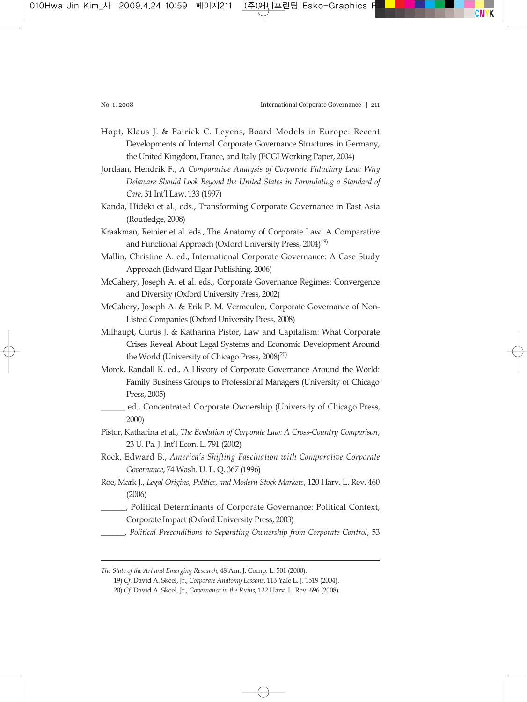Hopt, Klaus J. & Patrick C. Leyens, Board Models in Europe: Recent Developments of Internal Corporate Governance Structures in Germany, the United Kingdom, France, and Italy (ECGI Working Paper, 2004)

Jordaan, Hendrik F., *A Comparative Analysis of Corporate Fiduciary Law: Why Delaware Should Look Beyond the United States in Formulating a Standard of Care*, 31 Int'l Law. 133 (1997)

Kanda, Hideki et al., eds., Transforming Corporate Governance in East Asia (Routledge, 2008)

- Kraakman, Reinier et al. eds., The Anatomy of Corporate Law: A Comparative and Functional Approach (Oxford University Press,  $2004$ <sup>19)</sup>
- Mallin, Christine A. ed., International Corporate Governance: A Case Study Approach (Edward Elgar Publishing, 2006)
- McCahery, Joseph A. et al. eds., Corporate Governance Regimes: Convergence and Diversity (Oxford University Press, 2002)
- McCahery, Joseph A. & Erik P. M. Vermeulen, Corporate Governance of Non-Listed Companies (Oxford University Press, 2008)
- Milhaupt, Curtis J. & Katharina Pistor, Law and Capitalism: What Corporate Crises Reveal About Legal Systems and Economic Development Around the World (University of Chicago Press, 2008)<sup>20)</sup>
- Morck, Randall K. ed., A History of Corporate Governance Around the World: Family Business Groups to Professional Managers (University of Chicago Press, 2005)
	- ed., Concentrated Corporate Ownership (University of Chicago Press, 2000)
- Pistor, Katharina et al., *The Evolution of Corporate Law: A Cross-Country Comparison*, 23 U. Pa. J. Int'l Econ. L. 791 (2002)
- Rock, Edward B., *America's Shifting Fascination with Comparative Corporate Governance*, 74 Wash. U. L. Q. 367 (1996)
- Roe, Mark J., *Legal Origins, Politics, and Modern Stock Markets*, 120 Harv. L. Rev. 460 (2006)
- \_\_\_\_\_\_, Political Determinants of Corporate Governance: Political Context, Corporate Impact (Oxford University Press, 2003)
- \_\_\_\_\_\_, *Political Preconditions to Separating Ownership from Corporate Control*, 53

*The State of the Art and Emerging Research*, 48 Am. J. Comp. L. 501 (2000).

<sup>19)</sup> *Cf*. David A. Skeel, Jr., *Corporate Anatomy Lessons*, 113 Yale L. J. 1519 (2004).

<sup>20)</sup> *Cf.* David A. Skeel, Jr., *Governance in the Ruins*, 122 Harv. L. Rev. 696 (2008).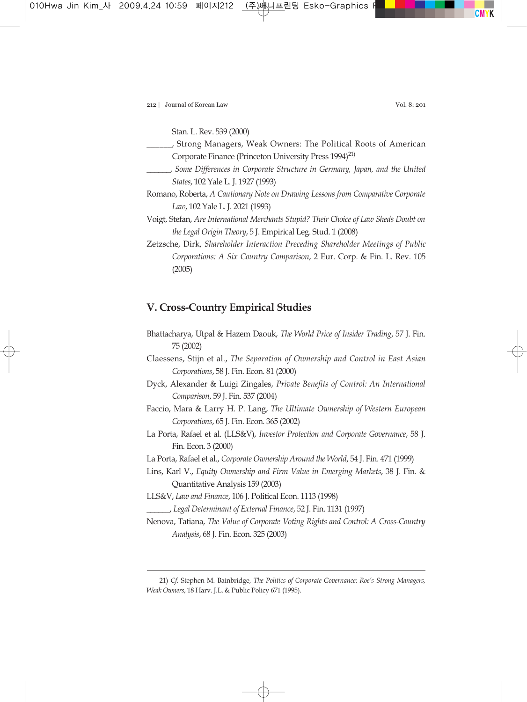212 | Journal of Korean Law Vol. 8: 201

Stan. L. Rev. 539 (2000)

- \_\_\_\_\_\_, Strong Managers, Weak Owners: The Political Roots of American Corporate Finance (Princeton University Press 1994)<sup>21)</sup>
- \_\_\_\_\_\_, *Some Differences in Corporate Structure in Germany, Japan, and the United States*, 102 Yale L. J. 1927 (1993)
- Romano, Roberta, *A Cautionary Note on Drawing Lessons from Comparative Corporate Law*, 102 Yale L. J. 2021 (1993)
- Voigt, Stefan, *Are International Merchants Stupid? Their Choice of Law Sheds Doubt on the Legal Origin Theory*, 5 J. Empirical Leg. Stud. 1 (2008)
- Zetzsche, Dirk, *Shareholder Interaction Preceding Shareholder Meetings of Public Corporations: A Six Country Comparison*, 2 Eur. Corp. & Fin. L. Rev. 105 (2005)

# **V. Cross-Country Empirical Studies**

- Bhattacharya, Utpal & Hazem Daouk, *The World Price of Insider Trading*, 57 J. Fin. 75 (2002)
- Claessens, Stijn et al., *The Separation of Ownership and Control in East Asian Corporations*, 58 J. Fin. Econ. 81 (2000)
- Dyck, Alexander & Luigi Zingales, *Private Benefits of Control: An International Comparison*, 59 J. Fin. 537 (2004)
- Faccio, Mara & Larry H. P. Lang, *The Ultimate Ownership of Western European Corporations*, 65 J. Fin. Econ. 365 (2002)
- La Porta, Rafael et al. (LLS&V), *Investor Protection and Corporate Governance*, 58 J. Fin. Econ. 3 (2000)
- La Porta, Rafael et al., *Corporate Ownership Around the World*, 54 J. Fin. 471 (1999)
- Lins, Karl V., *Equity Ownership and Firm Value in Emerging Markets*, 38 J. Fin. & Quantitative Analysis 159 (2003)
- LLS&V, *Law and Finance*, 106 J. Political Econ. 1113 (1998)
	- \_\_\_\_\_\_, *Legal Determinant of External Finance*, 52 J. Fin. 1131 (1997)
- Nenova, Tatiana, *The Value of Corporate Voting Rights and Control: A Cross-Country Analysis*, 68 J. Fin. Econ. 325 (2003)

<sup>21)</sup> *Cf.* Stephen M. Bainbridge, *The Politics of Corporate Governance: Roe's Strong Managers, Weak Owners*, 18 Harv. J.L. & Public Policy 671 (1995).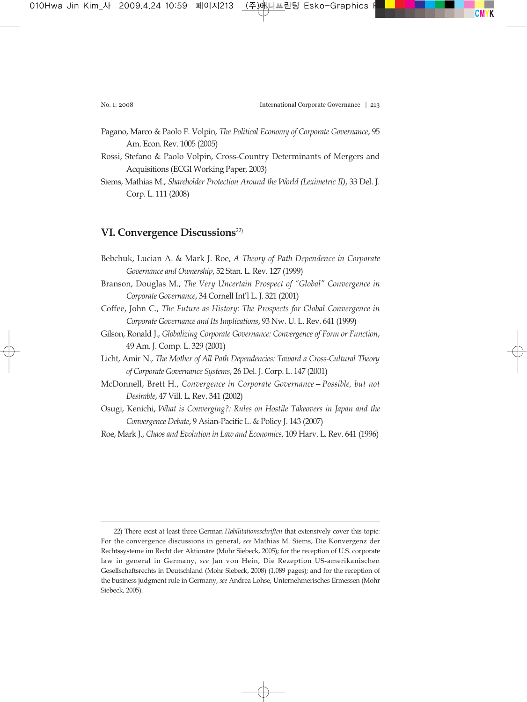- Pagano, Marco & Paolo F. Volpin, *The Political Economy of Corporate Governance*, 95 Am. Econ. Rev. 1005 (2005)
- Rossi, Stefano & Paolo Volpin, Cross-Country Determinants of Mergers and Acquisitions (ECGI Working Paper, 2003)
- Siems, Mathias M., *Shareholder Protection Around the World (Leximetric II)*, 33 Del. J. Corp. L. 111 (2008)

# **VI. Convergence Discussions**22)

Bebchuk, Lucian A. & Mark J. Roe, *A Theory of Path Dependence in Corporate Governance and Ownership*, 52 Stan. L. Rev. 127 (1999) Branson, Douglas M., *The Very Uncertain Prospect of "Global" Convergence in Corporate Governance*, 34 Cornell Int'l L. J. 321 (2001) Coffee, John C., *The Future as History: The Prospects for Global Convergence in Corporate Governance and Its Implications*, 93 Nw. U. L. Rev. 641 (1999) Gilson, Ronald J., *Globalizing Corporate Governance: Convergence of Form or Function*, 49 Am. J. Comp. L. 329 (2001) Licht, Amir N., *The Mother of All Path Dependencies: Toward a Cross-Cultural Theory of Corporate Governance Systems*, 26 Del. J. Corp. L. 147 (2001) McDonnell, Brett H., *Convergence in Corporate Governance—Possible, but not Desirable*, 47 Vill. L. Rev. 341 (2002) Osugi, Kenichi, *What is Converging?: Rules on Hostile Takeovers in Japan and the Convergence Debate*, 9 Asian-Pacific L. & Policy J. 143 (2007)

Roe, Mark J., *Chaos and Evolution in Law and Economics*, 109 Harv. L. Rev. 641 (1996)

<sup>22)</sup> There exist at least three German *Habilitationsschriften* that extensively cover this topic: For the convergence discussions in general, *see* Mathias M. Siems, Die Konvergenz der Rechtssysteme im Recht der Aktionäre (Mohr Siebeck, 2005); for the reception of U.S. corporate law in general in Germany, *see* Jan von Hein, Die Rezeption US-amerikanischen Gesellschaftsrechts in Deutschland (Mohr Siebeck, 2008) (1,089 pages); and for the reception of the business judgment rule in Germany, *see* Andrea Lohse, Unternehmerisches Ermessen (Mohr Siebeck, 2005).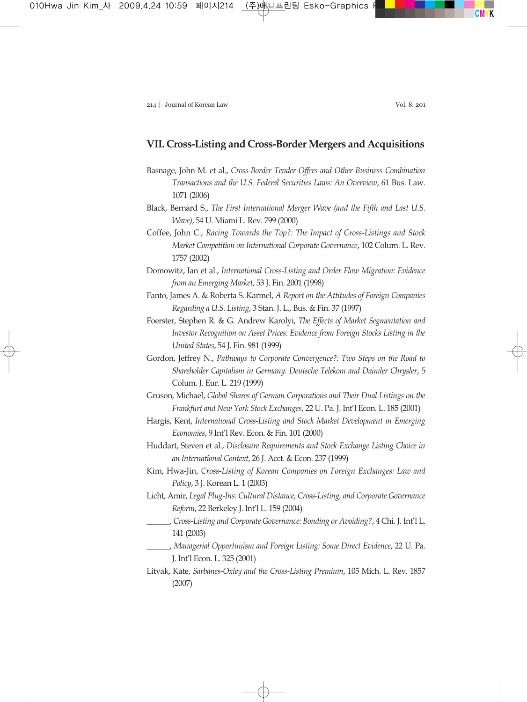## **VII. Cross-Listing and Cross-Border Mergers and Acquisitions**

- Basnage, John M. et al., *Cross-Border Tender Offers and Other Business Combination Transactions and the U.S. Federal Securities Laws: An Overview*, 61 Bus. Law. 1071 (2006)
- Black, Bernard S., *The First International Merger Wave (and the Fifth and Last U.S. Wave)*, 54 U. Miami L. Rev. 799 (2000)
- Coffee, John C., *Racing Towards the Top?: The Impact of Cross-Listings and Stock Market Competition on International Corporate Governance*, 102 Colum. L. Rev. 1757 (2002)
- Domowitz, Ian et al., *International Cross-Listing and Order Flow Migration: Evidence from an Emerging Market*, 53 J. Fin. 2001 (1998)
- Fanto, James A. & Roberta S. Karmel, *A Report on the Attitudes of Foreign Companies Regarding a U.S. Listing*, 3 Stan. J. L., Bus. & Fin. 37 (1997)
- Foerster, Stephen R. & G. Andrew Karolyi, *The Effects of Market Segmentation and Investor Recognition on Asset Prices: Evidence from Foreign Stocks Listing in the United States*, 54 J. Fin. 981 (1999)
- Gordon, Jeffrey N., *Pathways to Corporate Convergence?: Two Steps on the Road to Shareholder Capitalism in Germany: Deutsche Telekom and Daimler Chrysler*, 5 Colum. J. Eur. L. 219 (1999)
- Gruson, Michael, *Global Shares of German Corporations and Their Dual Listings on the Frankfurt and New York Stock Exchanges*, 22 U. Pa. J. Int'l Econ. L. 185 (2001)
- Hargis, Kent, *International Cross-Listing and Stock Market Development in Emerging Economies*, 9 Int'l Rev. Econ. & Fin. 101 (2000)
- Huddart, Steven et al., *Disclosure Requirements and Stock Exchange Listing Choice in an International Context*, 26 J. Acct. & Econ. 237 (1999)
- Kim, Hwa-Jin, *Cross-Listing of Korean Companies on Foreign Exchanges: Law and Policy*, 3 J. Korean L. 1 (2003)
- Licht, Amir, *Legal Plug-Ins: Cultural Distance, Cross-Listing, and Corporate Governance Reform*, 22 Berkeley J. Int'l L. 159 (2004)
- \_\_\_\_\_\_, *Cross-Listing and Corporate Governance: Bonding or Avoiding?*, 4 Chi. J. Int'l L. 141 (2003)
- \_\_\_\_\_\_, *Managerial Opportunism and Foreign Listing: Some Direct Evidence*, 22 U. Pa. J. Int'l Econ. L. 325 (2001)
- Litvak, Kate, *Sarbanes-Oxley and the Cross-Listing Premium*, 105 Mich. L. Rev. 1857 (2007)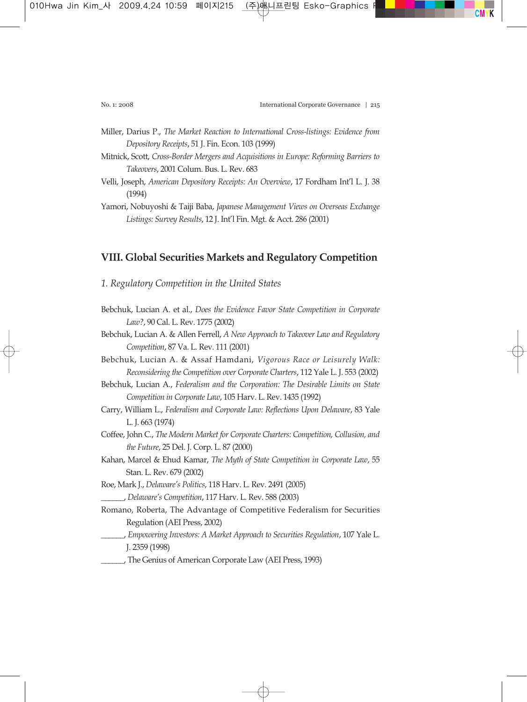- Miller, Darius P., *The Market Reaction to International Cross-listings: Evidence from Depository Receipts*, 51 J. Fin. Econ. 103 (1999)
- Mitnick, Scott, *Cross-Border Mergers and Acquisitions in Europe: Reforming Barriers to Takeovers*, 2001 Colum. Bus. L. Rev. 683
- Velli, Joseph, *American Depository Receipts: An Overview*, 17 Fordham Int'l L. J. 38 (1994)
- Yamori, Nobuyoshi & Taiji Baba, *Japanese Management Views on Overseas Exchange Listings: Survey Results*, 12 J. Int'l Fin. Mgt. & Acct. 286 (2001)

# **VIII. Global Securities Markets and Regulatory Competition**

- *1. Regulatory Competition in the United States*
- Bebchuk, Lucian A. et al., *Does the Evidence Favor State Competition in Corporate Law?*, 90 Cal. L. Rev. 1775 (2002)
- Bebchuk, Lucian A. & Allen Ferrell, *A New Approach to Takeover Law and Regulatory Competition*, 87 Va. L. Rev. 111 (2001)
- Bebchuk, Lucian A. & Assaf Hamdani, *Vigorous Race or Leisurely Walk: Reconsidering the Competition over Corporate Charters*, 112 Yale L. J. 553 (2002)
- Bebchuk, Lucian A., *Federalism and the Corporation: The Desirable Limits on State Competition in Corporate Law*, 105 Harv. L. Rev. 1435 (1992)
- Carry, William L., *Federalism and Corporate Law: Reflections Upon Delaware*, 83 Yale L. J. 663 (1974)
- Coffee, John C., *The Modern Market for Corporate Charters: Competition, Collusion, and the Future*, 25 Del. J. Corp. L. 87 (2000)
- Kahan, Marcel & Ehud Kamar, *The Myth of State Competition in Corporate Law*, 55 Stan. L. Rev. 679 (2002)
- Roe, Mark J., *Delaware's Politics*, 118 Harv. L. Rev. 2491 (2005) \_\_\_\_\_\_, *Delaware's Competition*, 117 Harv. L. Rev. 588 (2003)
- Romano, Roberta, The Advantage of Competitive Federalism for Securities Regulation (AEI Press, 2002)
	- \_\_\_\_\_\_, *Empowering Investors: A Market Approach to Securities Regulation*, 107 Yale L. J. 2359 (1998)
- \_\_\_\_\_\_, The Genius of American Corporate Law (AEI Press, 1993)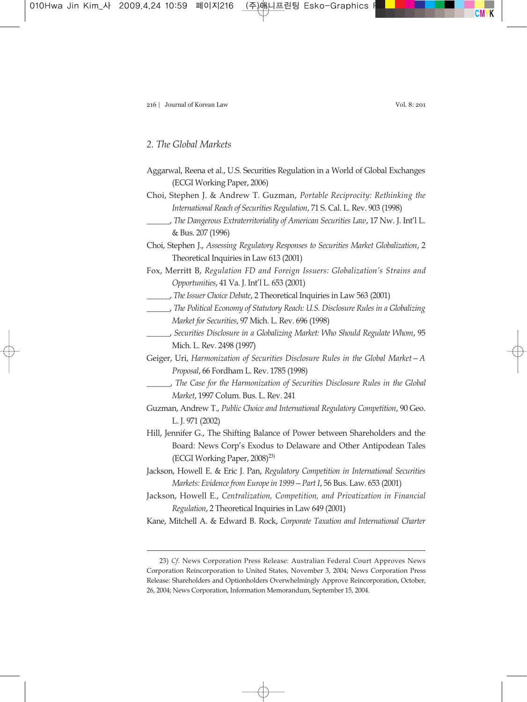#### *2. The Global Markets*

- Aggarwal, Reena et al., U.S. Securities Regulation in a World of Global Exchanges (ECGI Working Paper, 2006)
- Choi, Stephen J. & Andrew T. Guzman, *Portable Reciprocity: Rethinking the International Reach of Securities Regulation*, 71 S. Cal. L. Rev. 903 (1998)
	- \_\_\_\_\_\_, *The Dangerous Extraterritoriality of American Securities Law*, 17 Nw. J. Int'l L. & Bus. 207 (1996)
- Choi, Stephen J., *Assessing Regulatory Responses to Securities Market Globalization*, 2 Theoretical Inquiries in Law 613 (2001)
- Fox, Merritt B, *Regulation FD and Foreign Issuers: Globalization's Strains and Opportunities*, 41 Va. J. Int'l L. 653 (2001)
- \_\_\_\_\_\_, *The Issuer Choice Debate*, 2 Theoretical Inquiries in Law 563 (2001)
- \_\_\_\_\_\_, *The Political Economy of Statutory Reach: U.S. Disclosure Rules in a Globalizing Market for Securities*, 97 Mich. L. Rev. 696 (1998)
- \_\_\_\_\_\_, *Securities Disclosure in a Globalizing Market: Who Should Regulate Whom*, 95 Mich. L. Rev. 2498 (1997)
- Geiger, Uri, *Harmonization of Securities Disclosure Rules in the Global Market—A Proposal*, 66 Fordham L. Rev. 1785 (1998)
- \_\_\_\_\_\_, *The Case for the Harmonization of Securities Disclosure Rules in the Global Market*, 1997 Colum. Bus. L. Rev. 241
- Guzman, Andrew T., *Public Choice and International Regulatory Competition*, 90 Geo. L. J. 971 (2002)
- Hill, Jennifer G., The Shifting Balance of Power between Shareholders and the Board: News Corp's Exodus to Delaware and Other Antipodean Tales (ECGI Working Paper,  $2008)^{23}$ )
- Jackson, Howell E. & Eric J. Pan, *Regulatory Competition in International Securities Markets: Evidence from Europe in 1999—Part I*, 56 Bus. Law. 653 (2001)
- Jackson, Howell E., *Centralization, Competition, and Privatization in Financial Regulation*, 2 Theoretical Inquiries in Law 649 (2001)
- Kane, Mitchell A. & Edward B. Rock, *Corporate Taxation and International Charter*

<sup>23)</sup> *Cf*. News Corporation Press Release: Australian Federal Court Approves News Corporation Reincorporation to United States, November 3, 2004; News Corporation Press Release: Shareholders and Optionholders Overwhelmingly Approve Reincorporation, October, 26, 2004; News Corporation, Information Memorandum, September 15, 2004.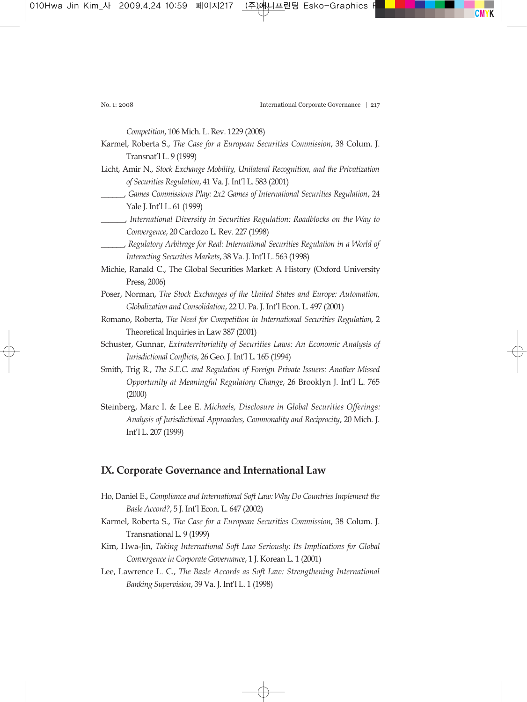*Competition*, 106 Mich. L. Rev. 1229 (2008)

- Karmel, Roberta S., *The Case for a European Securities Commission*, 38 Colum. J. Transnat'l L. 9 (1999)
- Licht, Amir N., *Stock Exchange Mobility, Unilateral Recognition, and the Privatization of Securities Regulation*, 41 Va. J. Int'l L. 583 (2001)
- \_\_\_\_\_\_, *Games Commissions Play: 2x2 Games of International Securities Regulation*, 24 Yale J. Int'l L. 61 (1999)
- \_\_\_\_\_\_, *International Diversity in Securities Regulation: Roadblocks on the Way to Convergence*, 20 Cardozo L. Rev. 227 (1998)
- \_\_\_\_\_\_, *Regulatory Arbitrage for Real: International Securities Regulation in a World of Interacting Securities Markets*, 38 Va. J. Int'l L. 563 (1998)
- Michie, Ranald C., The Global Securities Market: A History (Oxford University Press, 2006)
- Poser, Norman, *The Stock Exchanges of the United States and Europe: Automation, Globalization and Consolidation*, 22 U. Pa. J. Int'l Econ. L. 497 (2001)
- Romano, Roberta, *The Need for Competition in International Securities Regulation*, 2 Theoretical Inquiries in Law 387 (2001)
- Schuster, Gunnar, *Extraterritoriality of Securities Laws: An Economic Analysis of Jurisdictional Conflicts*, 26 Geo. J. Int'l L. 165 (1994)
- Smith, Trig R., *The S.E.C. and Regulation of Foreign Private Issuers: Another Missed Opportunity at Meaningful Regulatory Change*, 26 Brooklyn J. Int'l L. 765 (2000)
- Steinberg, Marc I. & Lee E. *Michaels, Disclosure in Global Securities Offerings: Analysis of Jurisdictional Approaches, Commonality and Reciprocity*, 20 Mich. J. Int'l L. 207 (1999)

# **IX. Corporate Governance and International Law**

- Ho, Daniel E., *Compliance and International Soft Law: Why Do Countries Implement the Basle Accord?*, 5 J. Int'l Econ. L. 647 (2002)
- Karmel, Roberta S., *The Case for a European Securities Commission*, 38 Colum. J. Transnational L. 9 (1999)
- Kim, Hwa-Jin, *Taking International Soft Law Seriously: Its Implications for Global Convergence in Corporate Governance*, 1 J. Korean L. 1 (2001)
- Lee, Lawrence L. C., *The Basle Accords as Soft Law: Strengthening International Banking Supervision*, 39 Va. J. Int'l L. 1 (1998)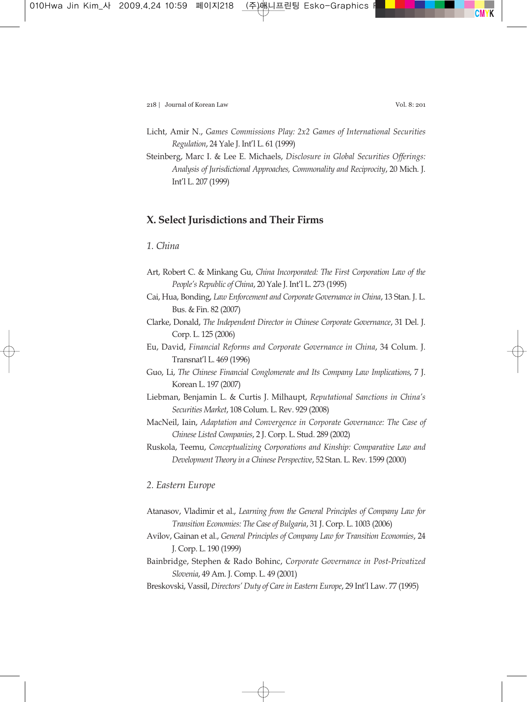- Licht, Amir N., *Games Commissions Play: 2x2 Games of International Securities Regulation*, 24 Yale J. Int'l L. 61 (1999)
- Steinberg, Marc I. & Lee E. Michaels, *Disclosure in Global Securities Offerings: Analysis of Jurisdictional Approaches, Commonality and Reciprocity*, 20 Mich. J. Int'l L. 207 (1999)

# **X. Select Jurisdictions and Their Firms**

## *1. China*

- Art, Robert C. & Minkang Gu, *China Incorporated: The First Corporation Law of the People's Republic of China*, 20 Yale J. Int'l L. 273 (1995)
- Cai, Hua, Bonding, *Law Enforcement and Corporate Governance in China*, 13 Stan. J. L. Bus. & Fin. 82 (2007)
- Clarke, Donald, *The Independent Director in Chinese Corporate Governance*, 31 Del. J. Corp. L. 125 (2006)
- Eu, David, *Financial Reforms and Corporate Governance in China*, 34 Colum. J. Transnat'l L. 469 (1996)
- Guo, Li, *The Chinese Financial Conglomerate and Its Company Law Implications*, 7 J. Korean L. 197 (2007)
- Liebman, Benjamin L. & Curtis J. Milhaupt, *Reputational Sanctions in China's Securities Market*, 108 Colum. L. Rev. 929 (2008)
- MacNeil, Iain, *Adaptation and Convergence in Corporate Governance: The Case of Chinese Listed Companies*, 2 J. Corp. L. Stud. 289 (2002)
- Ruskola, Teemu, *Conceptualizing Corporations and Kinship: Comparative Law and Development Theory in a Chinese Perspective*, 52 Stan. L. Rev. 1599 (2000)

## *2. Eastern Europe*

- Atanasov, Vladimir et al., *Learning from the General Principles of Company Law for Transition Economies: The Case of Bulgaria*, 31 J. Corp. L. 1003 (2006)
- Avilov, Gainan et al., *General Principles of Company Law for Transition Economies*, 24 J. Corp. L. 190 (1999)
- Bainbridge, Stephen & Rado Bohinc, *Corporate Governance in Post-Privatized Slovenia*, 49 Am. J. Comp. L. 49 (2001)
- Breskovski, Vassil, *Directors' Duty of Care in Eastern Europe*, 29 Int'l Law. 77 (1995)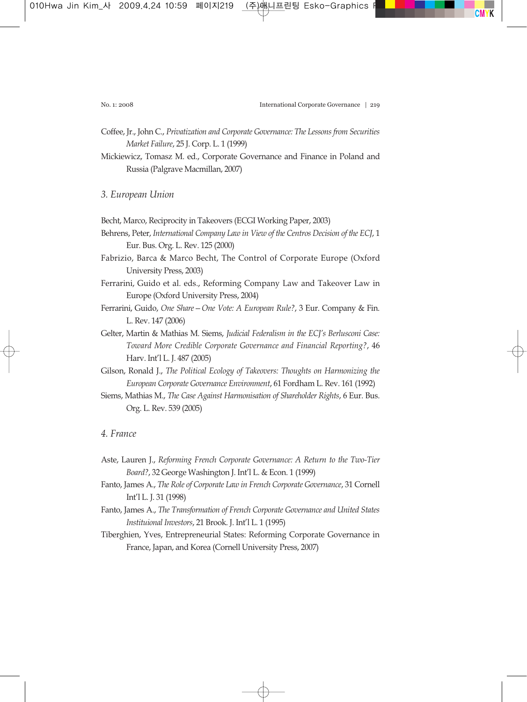- Coffee, Jr., John C., *Privatization and Corporate Governance: The Lessons from Securities Market Failure*, 25 J. Corp. L. 1 (1999)
- Mickiewicz, Tomasz M. ed., Corporate Governance and Finance in Poland and Russia (Palgrave Macmillan, 2007)
- *3. European Union*
- Becht, Marco, Reciprocity in Takeovers (ECGI Working Paper, 2003)
- Behrens, Peter, *International Company Law in View of the Centros Decision of the ECJ*, 1 Eur. Bus. Org. L. Rev. 125 (2000)
- Fabrizio, Barca & Marco Becht, The Control of Corporate Europe (Oxford University Press, 2003)
- Ferrarini, Guido et al. eds., Reforming Company Law and Takeover Law in Europe (Oxford University Press, 2004)
- Ferrarini, Guido, *One Share—One Vote: A European Rule?*, 3 Eur. Company & Fin. L. Rev. 147 (2006)
- Gelter, Martin & Mathias M. Siems, *Judicial Federalism in the ECJ's Berlusconi Case: Toward More Credible Corporate Governance and Financial Reporting?*, 46 Harv. Int'l L. J. 487 (2005)
- Gilson, Ronald J., *The Political Ecology of Takeovers: Thoughts on Harmonizing the European Corporate Governance Environment*, 61 Fordham L. Rev. 161 (1992)
- Siems, Mathias M., *The Case Against Harmonisation of Shareholder Rights*, 6 Eur. Bus. Org. L. Rev. 539 (2005)

## *4. France*

- Aste, Lauren J., *Reforming French Corporate Governance: A Return to the Two-Tier Board?*, 32 George Washington J. Int'l L. & Econ. 1 (1999)
- Fanto, James A., *The Role of Corporate Law in French Corporate Governance*, 31 Cornell Int'l L. J. 31 (1998)
- Fanto, James A., *The Transformation of French Corporate Governance and United States Instituional Investors*, 21 Brook. J. Int'l L. 1 (1995)
- Tiberghien, Yves, Entrepreneurial States: Reforming Corporate Governance in France, Japan, and Korea (Cornell University Press, 2007)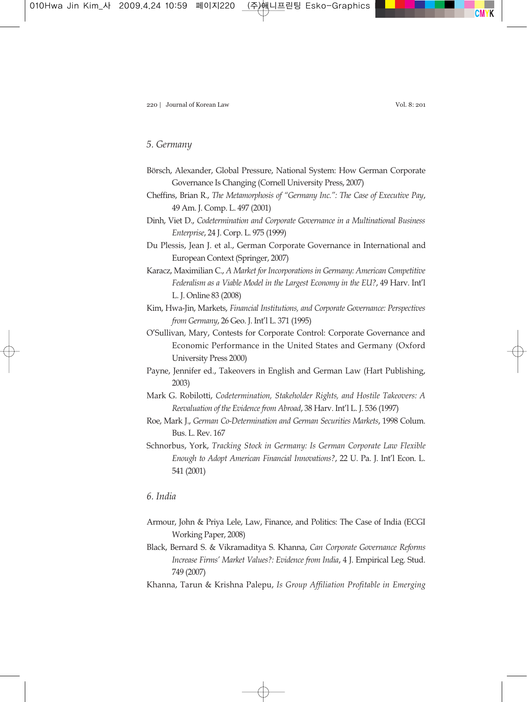## *5. Germany*

- Börsch, Alexander, Global Pressure, National System: How German Corporate Governance Is Changing (Cornell University Press, 2007)
- Cheffins, Brian R., *The Metamorphosis of "Germany Inc.": The Case of Executive Pay*, 49 Am. J. Comp. L. 497 (2001)
- Dinh, Viet D., *Codetermination and Corporate Governance in a Multinational Business Enterprise*, 24 J. Corp. L. 975 (1999)
- Du Plessis, Jean J. et al., German Corporate Governance in International and European Context (Springer, 2007)
- Karacz, Maximilian C., *A Market for Incorporations in Germany: American Competitive Federalism as a Viable Model in the Largest Economy in the EU?*, 49 Harv. Int'l L. J. Online 83 (2008)
- Kim, Hwa-Jin, Markets, *Financial Institutions, and Corporate Governance: Perspectives from Germany*, 26 Geo. J. Int'l L. 371 (1995)
- O'Sullivan, Mary, Contests for Corporate Control: Corporate Governance and Economic Performance in the United States and Germany (Oxford University Press 2000)
- Payne, Jennifer ed., Takeovers in English and German Law (Hart Publishing, 2003)
- Mark G. Robilotti, *Codetermination, Stakeholder Rights, and Hostile Takeovers: A Reevaluation of the Evidence from Abroad*, 38 Harv. Int'l L. J. 536 (1997)
- Roe, Mark J., *German Co-Determination and German Securities Markets*, 1998 Colum. Bus. L. Rev. 167
- Schnorbus, York, *Tracking Stock in Germany: Is German Corporate Law Flexible Enough to Adopt American Financial Innovations?*, 22 U. Pa. J. Int'l Econ. L. 541 (2001)

## *6. India*

- Armour, John & Priya Lele, Law, Finance, and Politics: The Case of India (ECGI Working Paper, 2008)
- Black, Bernard S. & Vikramaditya S. Khanna, *Can Corporate Governance Reforms Increase Firms' Market Values?: Evidence from India*, 4 J. Empirical Leg. Stud. 749 (2007)
- Khanna, Tarun & Krishna Palepu, *Is Group Affiliation Profitable in Emerging*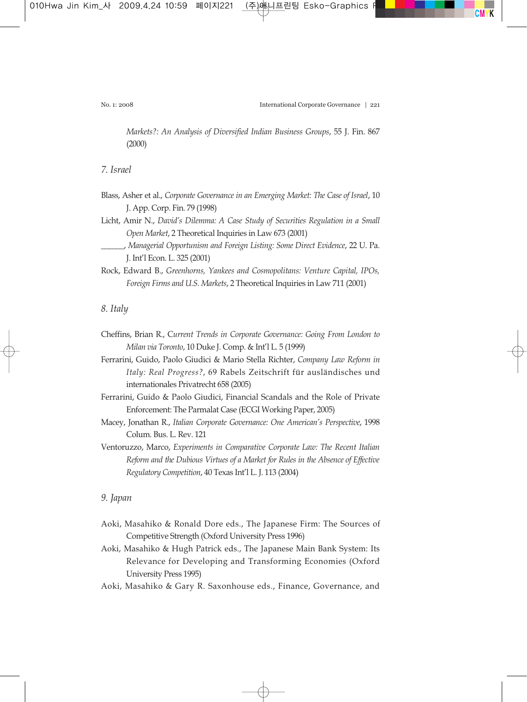*Markets?: An Analysis of Diversified Indian Business Groups*, 55 J. Fin. 867 (2000)

*7. Israel*

- Blass, Asher et al., *Corporate Governance in an Emerging Market: The Case of Israel*, 10 J. App. Corp. Fin. 79 (1998)
- Licht, Amir N., *David's Dilemma: A Case Study of Securities Regulation in a Small Open Market*, 2 Theoretical Inquiries in Law 673 (2001)
- \_\_\_\_\_\_, *Managerial Opportunism and Foreign Listing: Some Direct Evidence*, 22 U. Pa. J. Int'l Econ. L. 325 (2001)
- Rock, Edward B., *Greenhorns, Yankees and Cosmopolitans: Venture Capital, IPOs, Foreign Firms and U.S. Markets*, 2 Theoretical Inquiries in Law 711 (2001)

*8. Italy*

- Cheffins, Brian R., C*urrent Trends in Corporate Governance: Going From London to Milan via Toronto*, 10 Duke J. Comp. & Int'l L. 5 (1999)
- Ferrarini, Guido, Paolo Giudici & Mario Stella Richter, *Company Law Reform in Italy: Real Progress?*, 69 Rabels Zeitschrift für ausländisches und internationales Privatrecht 658 (2005)
- Ferrarini, Guido & Paolo Giudici, Financial Scandals and the Role of Private Enforcement: The Parmalat Case (ECGI Working Paper, 2005)
- Macey, Jonathan R., *Italian Corporate Governance: One American's Perspective*, 1998 Colum. Bus. L. Rev. 121
- Ventoruzzo, Marco, *Experiments in Comparative Corporate Law: The Recent Italian Reform and the Dubious Virtues of a Market for Rules in the Absence of Effective Regulatory Competition*, 40 Texas Int'l L. J. 113 (2004)

## *9. Japan*

- Aoki, Masahiko & Ronald Dore eds., The Japanese Firm: The Sources of Competitive Strength (Oxford University Press 1996)
- Aoki, Masahiko & Hugh Patrick eds., The Japanese Main Bank System: Its Relevance for Developing and Transforming Economies (Oxford University Press 1995)
- Aoki, Masahiko & Gary R. Saxonhouse eds., Finance, Governance, and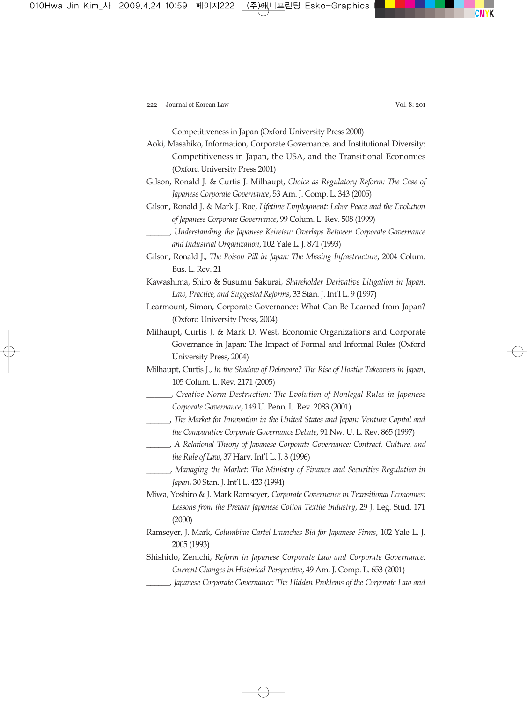Competitiveness in Japan (Oxford University Press 2000)

- Aoki, Masahiko, Information, Corporate Governance, and Institutional Diversity: Competitiveness in Japan, the USA, and the Transitional Economies (Oxford University Press 2001)
- Gilson, Ronald J. & Curtis J. Milhaupt, *Choice as Regulatory Reform: The Case of Japanese Corporate Governance*, 53 Am. J. Comp. L. 343 (2005)
- Gilson, Ronald J. & Mark J. Roe, *Lifetime Employment: Labor Peace and the Evolution of Japanese Corporate Governance*, 99 Colum. L. Rev. 508 (1999)
- \_\_\_\_\_\_, *Understanding the Japanese Keiretsu: Overlaps Between Corporate Governance and Industrial Organization*, 102 Yale L. J. 871 (1993)
- Gilson, Ronald J., *The Poison Pill in Japan: The Missing Infrastructure*, 2004 Colum. Bus. L. Rev. 21
- Kawashima, Shiro & Susumu Sakurai, *Shareholder Derivative Litigation in Japan: Law, Practice, and Suggested Reforms*, 33 Stan. J. Int'l L. 9 (1997)
- Learmount, Simon, Corporate Governance: What Can Be Learned from Japan? (Oxford University Press, 2004)
- Milhaupt, Curtis J. & Mark D. West, Economic Organizations and Corporate Governance in Japan: The Impact of Formal and Informal Rules (Oxford University Press, 2004)
- Milhaupt, Curtis J., *In the Shadow of Delaware? The Rise of Hostile Takeovers in Japan*, 105 Colum. L. Rev. 2171 (2005)
- \_\_\_\_\_\_, *Creative Norm Destruction: The Evolution of Nonlegal Rules in Japanese Corporate Governance*, 149 U. Penn. L. Rev. 2083 (2001)
- \_\_\_\_\_\_, *The Market for Innovation in the United States and Japan: Venture Capital and the Comparative Corporate Governance Debate*, 91 Nw. U. L. Rev. 865 (1997)
- \_\_\_\_\_\_, *A Relational Theory of Japanese Corporate Governance: Contract, Culture, and the Rule of Law*, 37 Harv. Int'l L. J. 3 (1996)
- \_\_\_\_\_\_, *Managing the Market: The Ministry of Finance and Securities Regulation in Japan*, 30 Stan. J. Int'l L. 423 (1994)
- Miwa, Yoshiro & J. Mark Ramseyer, *Corporate Governance in Transitional Economies: Lessons from the Prewar Japanese Cotton Textile Industry*, 29 J. Leg. Stud. 171 (2000)
- Ramseyer, J. Mark, *Columbian Cartel Launches Bid for Japanese Firms*, 102 Yale L. J. 2005 (1993)
- Shishido, Zenichi, *Reform in Japanese Corporate Law and Corporate Governance: Current Changes in Historical Perspective*, 49 Am. J. Comp. L. 653 (2001)
- \_\_\_\_\_\_, *Japanese Corporate Governance: The Hidden Problems of the Corporate Law and*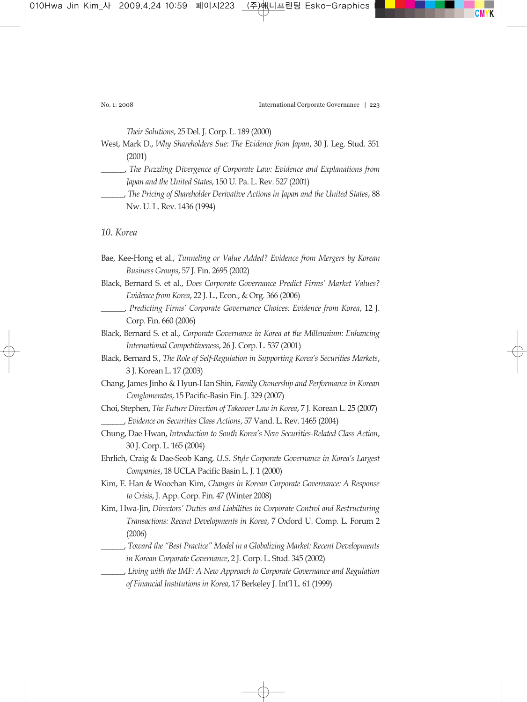*Their Solutions*, 25 Del. J. Corp. L. 189 (2000)

- West, Mark D., *Why Shareholders Sue: The Evidence from Japan*, 30 J. Leg. Stud. 351 (2001)
- \_\_\_\_\_\_, *The Puzzling Divergence of Corporate Law: Evidence and Explanations from Japan and the United States*, 150 U. Pa. L. Rev. 527 (2001)
- \_\_\_\_\_\_, *The Pricing of Shareholder Derivative Actions in Japan and the United States*, 88 Nw. U. L. Rev. 1436 (1994)

*10. Korea*

- Bae, Kee-Hong et al., *Tunneling or Value Added? Evidence from Mergers by Korean Business Groups*, 57 J. Fin. 2695 (2002)
- Black, Bernard S. et al., *Does Corporate Governance Predict Firms' Market Values? Evidence from Korea*, 22 J. L., Econ., & Org. 366 (2006)
	- \_\_\_\_\_\_, *Predicting Firms' Corporate Governance Choices: Evidence from Korea*, 12 J. Corp. Fin. 660 (2006)
- Black, Bernard S. et al., *Corporate Governance in Korea at the Millennium: Enhancing International Competitiveness*, 26 J. Corp. L. 537 (2001)
- Black, Bernard S., *The Role of Self-Regulation in Supporting Korea's Securities Markets*, 3 J. Korean L. 17 (2003)
- Chang, James Jinho & Hyun-Han Shin, *Family Ownership and Performance in Korean Conglomerates*, 15 Pacific-Basin Fin. J. 329 (2007)
- Choi, Stephen, *The Future Direction of Takeover Law in Korea*, 7 J. Korean L. 25 (2007) \_\_\_\_\_\_, *Evidence on Securities Class Actions*, 57 Vand. L. Rev. 1465 (2004)
- Chung, Dae Hwan, *Introduction to South Korea's New Securities-Related Class Action*, 30 J. Corp. L. 165 (2004)
- Ehrlich, Craig & Dae-Seob Kang, *U.S. Style Corporate Governance in Korea's Largest Companies*, 18 UCLA Pacific Basin L. J. 1 (2000)
- Kim, E. Han & Woochan Kim, *Changes in Korean Corporate Governance: A Response to Crisis*, J. App. Corp. Fin. 47 (Winter 2008)
- Kim, Hwa-Jin, *Directors' Duties and Liabilities in Corporate Control and Restructuring Transactions: Recent Developments in Korea*, 7 Oxford U. Comp. L. Forum 2 (2006)
- \_\_\_\_\_\_, *Toward the "Best Practice" Model in a Globalizing Market: Recent Developments in Korean Corporate Governance*, 2 J. Corp. L. Stud. 345 (2002)
	- \_\_\_\_\_\_, *Living with the IMF: A New Approach to Corporate Governance and Regulation of Financial Institutions in Korea*, 17 Berkeley J. Int'l L. 61 (1999)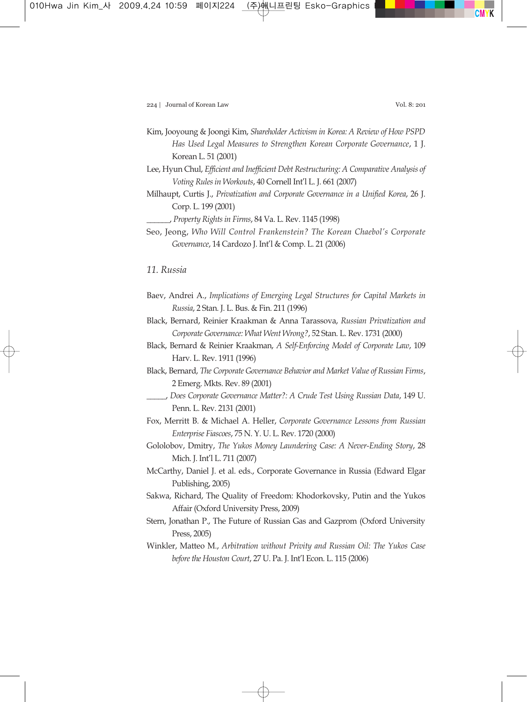- Kim, Jooyoung & Joongi Kim, *Shareholder Activism in Korea: A Review of How PSPD Has Used Legal Measures to Strengthen Korean Corporate Governance*, 1 J. Korean L. 51 (2001)
- Lee, Hyun Chul, *Efficient and Inefficient Debt Restructuring: A Comparative Analysis of Voting Rules in Workouts*, 40 Cornell Int'l L. J. 661 (2007)
- Milhaupt, Curtis J., *Privatization and Corporate Governance in a Unified Korea*, 26 J. Corp. L. 199 (2001)

\_\_\_\_\_\_, *Property Rights in Firms*, 84 Va. L. Rev. 1145 (1998)

Seo, Jeong, *Who Will Control Frankenstein? The Korean Chaebol's Corporate Governance*, 14 Cardozo J. Int'l & Comp. L. 21 (2006)

## *11. Russia*

- Baev, Andrei A., *Implications of Emerging Legal Structures for Capital Markets in Russia*, 2 Stan. J. L. Bus. & Fin. 211 (1996)
- Black, Bernard, Reinier Kraakman & Anna Tarassova, *Russian Privatization and Corporate Governance: What Went Wrong?*, 52 Stan. L. Rev. 1731 (2000)
- Black, Bernard & Reinier Kraakman, *A Self-Enforcing Model of Corporate Law*, 109 Harv. L. Rev. 1911 (1996)
- Black, Bernard, *The Corporate Governance Behavior and Market Value of Russian Firms*, 2 Emerg. Mkts. Rev. 89 (2001)
- \_\_\_\_\_, *Does Corporate Governance Matter?: A Crude Test Using Russian Data*, 149 U. Penn. L. Rev. 2131 (2001)
- Fox, Merritt B. & Michael A. Heller, *Corporate Governance Lessons from Russian Enterprise Fiascoes*, 75 N. Y. U. L. Rev. 1720 (2000)
- Gololobov, Dmitry, *The Yukos Money Laundering Case: A Never-Ending Story*, 28 Mich. J. Int'l L. 711 (2007)
- McCarthy, Daniel J. et al. eds., Corporate Governance in Russia (Edward Elgar Publishing, 2005)
- Sakwa, Richard, The Quality of Freedom: Khodorkovsky, Putin and the Yukos Affair (Oxford University Press, 2009)
- Stern, Jonathan P., The Future of Russian Gas and Gazprom (Oxford University Press, 2005)
- Winkler, Matteo M., *Arbitration without Privity and Russian Oil: The Yukos Case before the Houston Court*, 27 U. Pa. J. Int'l Econ. L. 115 (2006)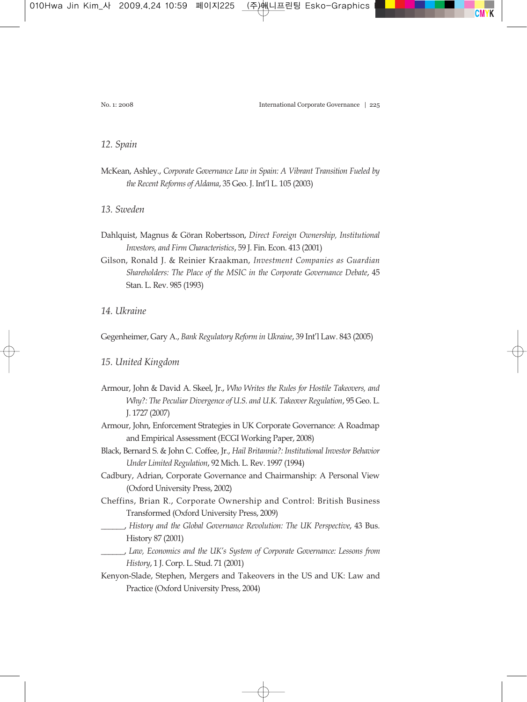#### *12. Spain*

- McKean, Ashley., *Corporate Governance Law in Spain: A Vibrant Transition Fueled by the Recent Reforms of Aldama*, 35 Geo. J. Int'l L. 105 (2003)
- *13. Sweden*
- Dahlquist, Magnus & Göran Robertsson, *Direct Foreign Ownership, Institutional Investors, and Firm Characteristics*, 59 J. Fin. Econ. 413 (2001)
- Gilson, Ronald J. & Reinier Kraakman, *Investment Companies as Guardian Shareholders: The Place of the MSIC in the Corporate Governance Debate*, 45 Stan. L. Rev. 985 (1993)

*14. Ukraine*

Gegenheimer, Gary A., *Bank Regulatory Reform in Ukraine*, 39 Int'l Law. 843 (2005)

#### *15. United Kingdom*

- Armour, John & David A. Skeel, Jr., *Who Writes the Rules for Hostile Takeovers, and Why?: The Peculiar Divergence of U.S. and U.K. Takeover Regulation*, 95 Geo. L. J. 1727 (2007)
- Armour, John, Enforcement Strategies in UK Corporate Governance: A Roadmap and Empirical Assessment (ECGI Working Paper, 2008)
- Black, Bernard S. & John C. Coffee, Jr., *Hail Britannia?: Institutional Investor Behavior Under Limited Regulation*, 92 Mich. L. Rev. 1997 (1994)
- Cadbury, Adrian, Corporate Governance and Chairmanship: A Personal View (Oxford University Press, 2002)
- Cheffins, Brian R., Corporate Ownership and Control: British Business Transformed (Oxford University Press, 2009)
- \_\_\_\_\_\_, *History and the Global Governance Revolution: The UK Perspective*, 43 Bus. History 87 (2001)
	- \_\_\_\_\_\_, *Law, Economics and the UK's System of Corporate Governance: Lessons from History*, 1 J. Corp. L. Stud. 71 (2001)
- Kenyon-Slade, Stephen, Mergers and Takeovers in the US and UK: Law and Practice (Oxford University Press, 2004)